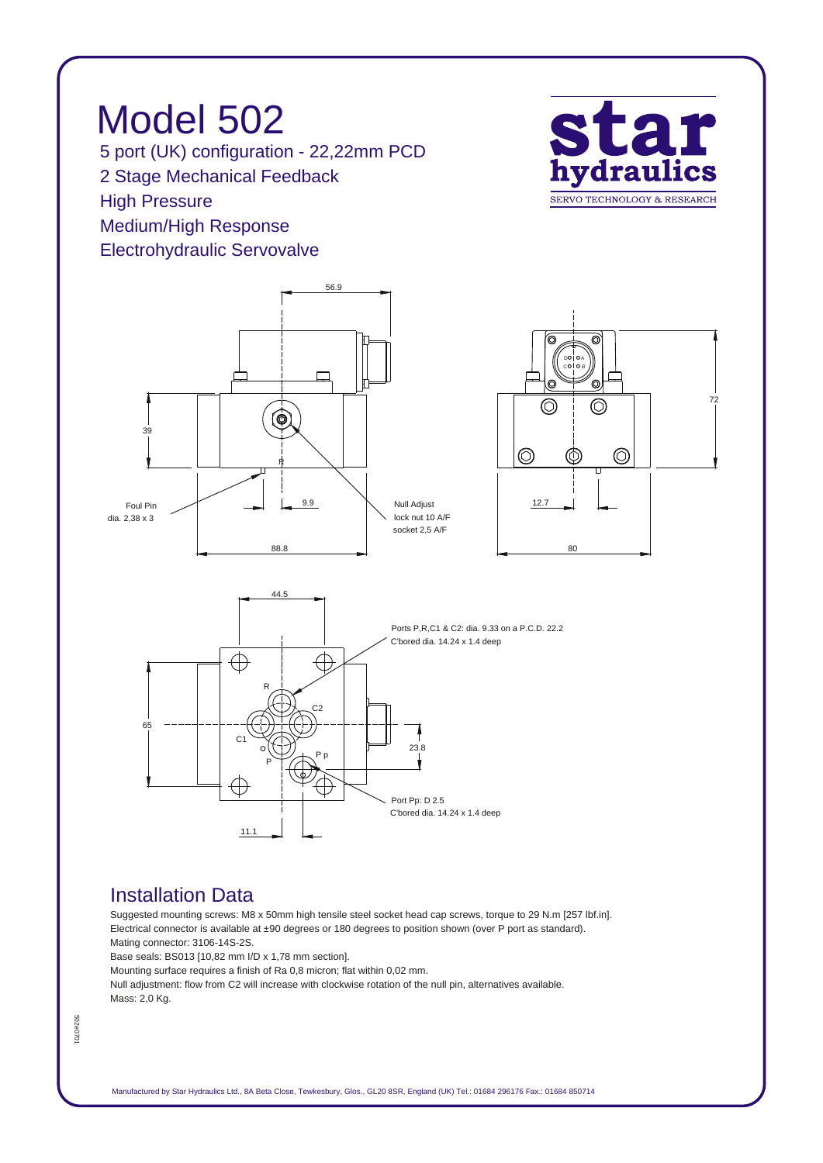*Model 502 5 port (UK) configuration - 22,22mm PCD 2 Stage Mechanical Feedback High Pressure Medium/High Response Electrohydraulic Servovalve*





## *Installation Data*

*Suggested mounting screws: M8 x 50mm high tensile steel socket head cap screws, torque to 29 N.m [257 lbf.in]. Electrical connector is available at ±90 degrees or 180 degrees to position shown (over P port as standard). Mating connector: 3106-14S-2S.*

*Base seals: BS013 [10,82 mm I/D x 1,78 mm section].*

*Mounting surface requires a finish of Ra 0,8 micron; flat within 0,02 mm.*

*Null adjustment: flow from C2 will increase with clockwise rotation of the null pin, alternatives available. Mass: 2,0 Kg.*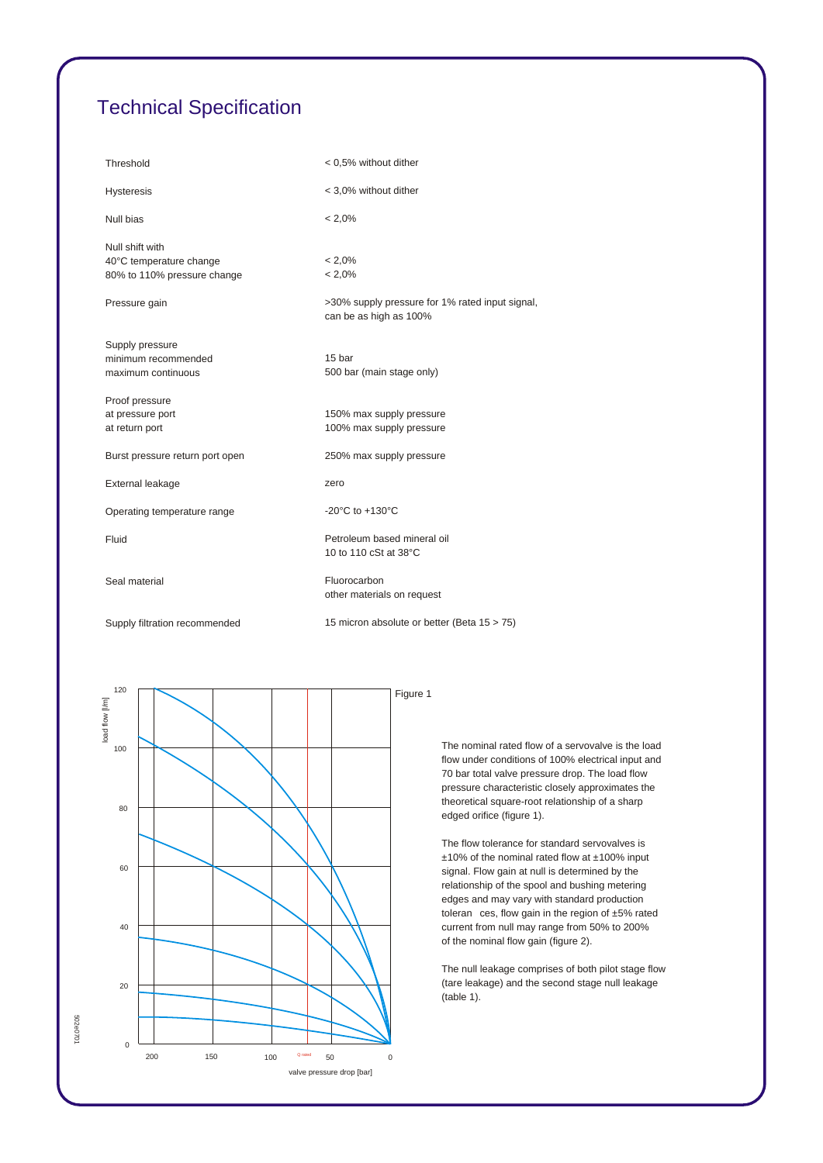## *Technical Specification*

| Threshold                                                                 | < 0,5% without dither                                                     |
|---------------------------------------------------------------------------|---------------------------------------------------------------------------|
| <b>Hysteresis</b>                                                         | < 3,0% without dither                                                     |
| Null bias                                                                 | $< 2,0\%$                                                                 |
| Null shift with<br>40°C temperature change<br>80% to 110% pressure change | $< 2.0\%$<br>$< 2.0\%$                                                    |
| Pressure gain                                                             | >30% supply pressure for 1% rated input signal,<br>can be as high as 100% |
| Supply pressure<br>minimum recommended<br>maximum continuous              | 15 bar<br>500 bar (main stage only)                                       |
| Proof pressure<br>at pressure port<br>at return port                      | 150% max supply pressure<br>100% max supply pressure                      |
| Burst pressure return port open                                           | 250% max supply pressure                                                  |
| External leakage                                                          | zero                                                                      |
| Operating temperature range                                               | -20 $^{\circ}$ C to +130 $^{\circ}$ C                                     |
| Fluid                                                                     | Petroleum based mineral oil<br>10 to 110 cSt at 38°C                      |
| Seal material                                                             | Fluorocarbon<br>other materials on request                                |
| Supply filtration recommended                                             | 15 micron absolute or better (Beta 15 > 75)                               |



*The nominal rated flow of a servovalve is the load flow under conditions of 100% electrical input and 70 bar total valve pressure drop. The load flow pressure characteristic closely approximates the theoretical square-root relationship of a sharp edged orifice (figure 1).*

*The flow tolerance for standard servovalves is ±10% of the nominal rated flow at ±100% input signal. Flow gain at null is determined by the relationship of the spool and bushing metering edges and may vary with standard production toleran ces, flow gain in the region of ±5% rated current from null may range from 50% to 200% of the nominal flow gain (figure 2).*

*The null leakage comprises of both pilot stage flow (tare leakage) and the second stage null leakage (table 1).*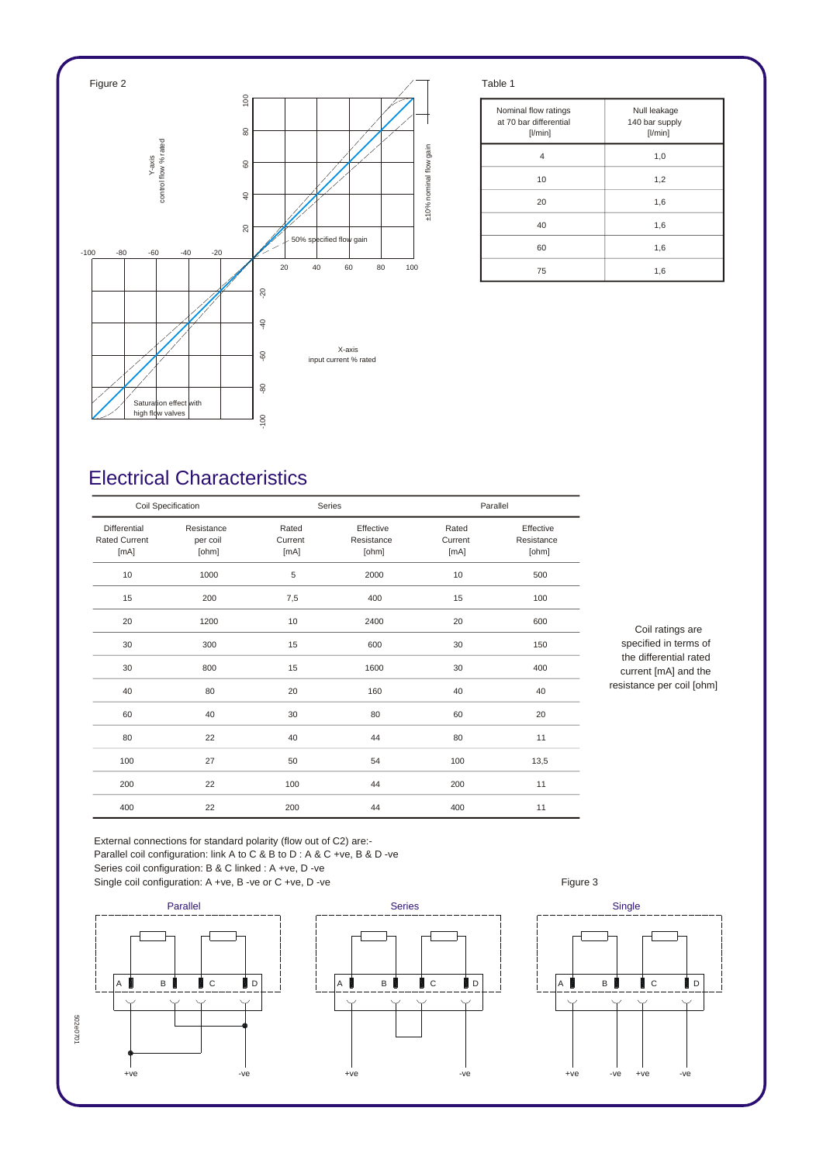

| Nominal flow ratings<br>at 70 bar differential<br>$[$ l/min $]$ | Null leakage<br>140 bar supply<br>[1/min] |
|-----------------------------------------------------------------|-------------------------------------------|
| 4                                                               | 1,0                                       |
| 10                                                              | 1,2                                       |
| 20                                                              | 1,6                                       |
| 40                                                              | 1,6                                       |
| 60                                                              | 1,6                                       |
| 75                                                              | 1,6                                       |

## *Electrical Characteristics*

| Coil Specification                           |                                 |                          | Series                           |                          | Parallel                         |  |
|----------------------------------------------|---------------------------------|--------------------------|----------------------------------|--------------------------|----------------------------------|--|
| Differential<br><b>Rated Current</b><br>[mA] | Resistance<br>per coil<br>[ohm] | Rated<br>Current<br>[mA] | Effective<br>Resistance<br>[ohm] | Rated<br>Current<br>[mA] | Effective<br>Resistance<br>[ohm] |  |
| 10                                           | 1000                            | 5                        | 2000                             | 10                       | 500                              |  |
| 15                                           | 200                             | 7,5                      | 400                              | 15                       | 100                              |  |
| 20                                           | 1200                            | 10                       | 2400                             | 20                       | 600                              |  |
| 30                                           | 300                             | 15                       | 600                              | 30                       | 150                              |  |
| 30                                           | 800                             | 15                       | 1600                             | 30                       | 400                              |  |
| 40                                           | 80                              | 20                       | 160                              | 40                       | 40                               |  |
| 60                                           | 40                              | 30                       | 80                               | 60                       | 20                               |  |
| 80                                           | 22                              | 40                       | 44                               | 80                       | 11                               |  |
| 100                                          | 27                              | 50                       | 54                               | 100                      | 13,5                             |  |
| 200                                          | 22                              | 100                      | 44                               | 200                      | 11                               |  |
| 400                                          | 22                              | 200                      | 44                               | 400                      | 11                               |  |

*Coil ratings are specified in terms of the differential rated current [mA] and the resistance per coil [ohm]*

*External connections for standard polarity (flow out of C2) are:- Parallel coil configuration: link A to C & B to D : A & C +ve, B & D -ve Series coil configuration: B & C linked : A +ve, D -ve*